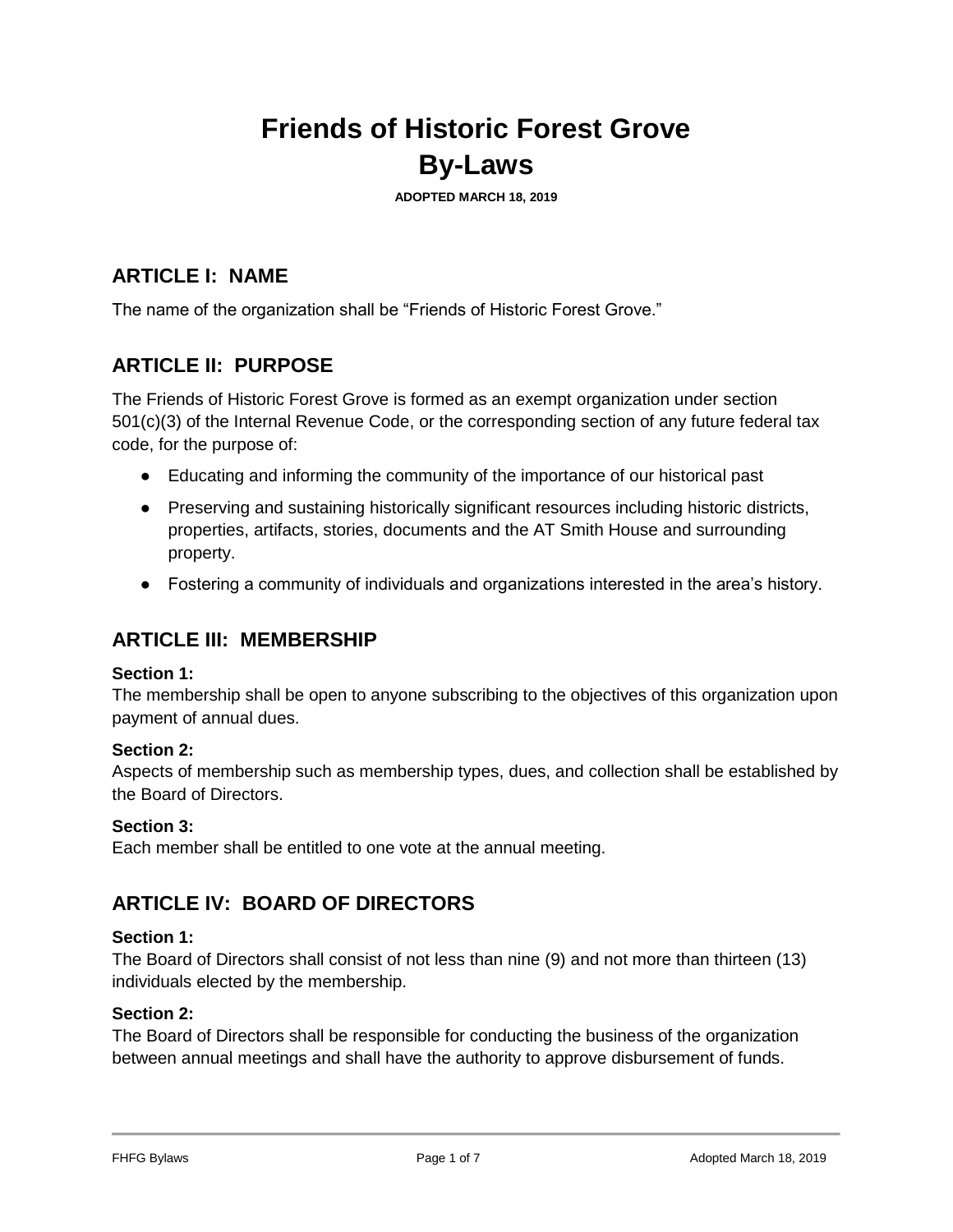# **Friends of Historic Forest Grove By-Laws**

**ADOPTED MARCH 18, 2019**

## **ARTICLE I: NAME**

The name of the organization shall be "Friends of Historic Forest Grove."

## **ARTICLE II: PURPOSE**

The Friends of Historic Forest Grove is formed as an exempt organization under section 501(c)(3) of the Internal Revenue Code, or the corresponding section of any future federal tax code, for the purpose of:

- Educating and informing the community of the importance of our historical past
- Preserving and sustaining historically significant resources including historic districts, properties, artifacts, stories, documents and the AT Smith House and surrounding property.
- Fostering a community of individuals and organizations interested in the area's history.

## **ARTICLE III: MEMBERSHIP**

#### **Section 1:**

The membership shall be open to anyone subscribing to the objectives of this organization upon payment of annual dues.

#### **Section 2:**

Aspects of membership such as membership types, dues, and collection shall be established by the Board of Directors.

#### **Section 3:**

Each member shall be entitled to one vote at the annual meeting.

## **ARTICLE IV: BOARD OF DIRECTORS**

#### **Section 1:**

The Board of Directors shall consist of not less than nine (9) and not more than thirteen (13) individuals elected by the membership.

#### **Section 2:**

The Board of Directors shall be responsible for conducting the business of the organization between annual meetings and shall have the authority to approve disbursement of funds.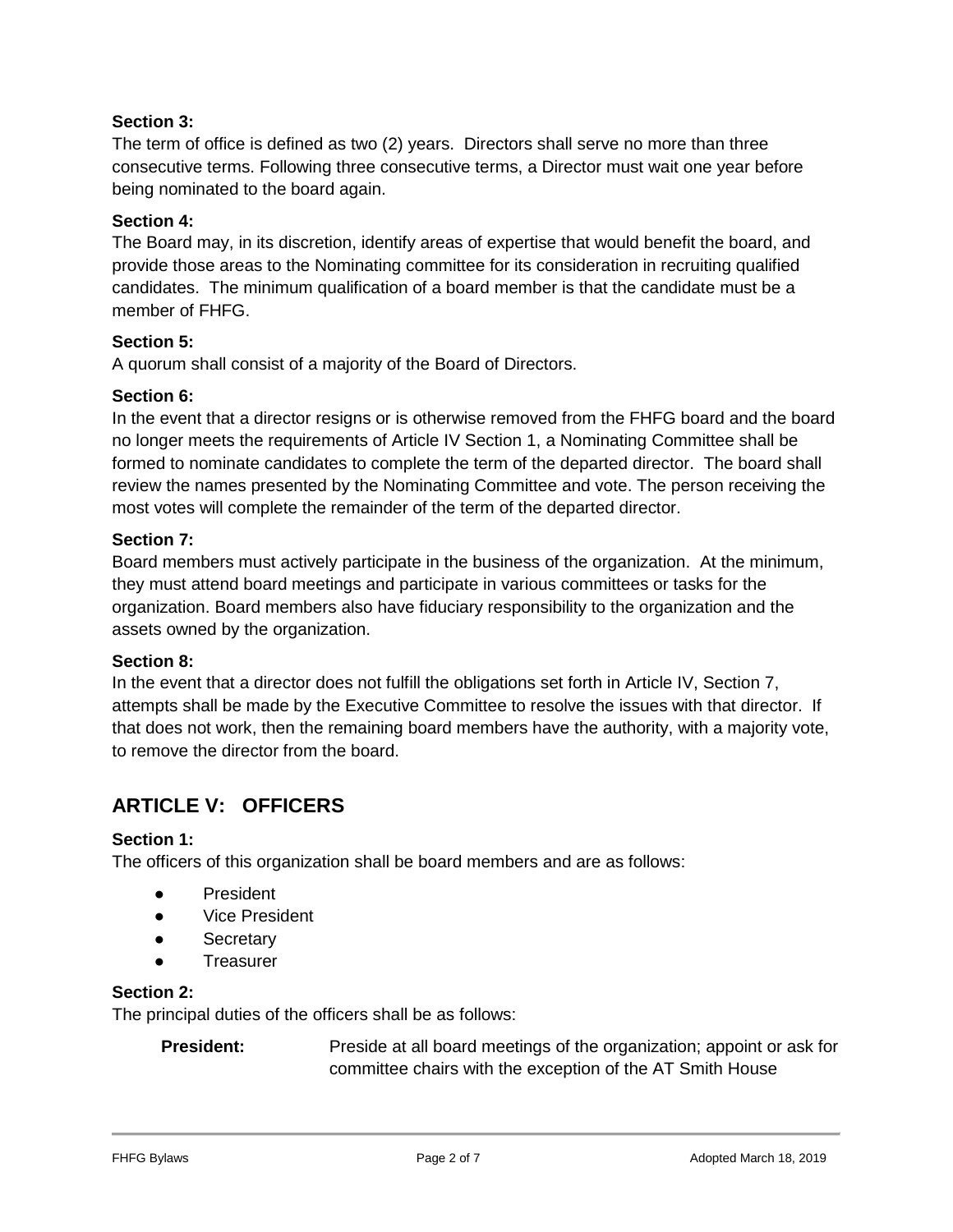The term of office is defined as two (2) years. Directors shall serve no more than three consecutive terms. Following three consecutive terms, a Director must wait one year before being nominated to the board again.

#### **Section 4:**

The Board may, in its discretion, identify areas of expertise that would benefit the board, and provide those areas to the Nominating committee for its consideration in recruiting qualified candidates. The minimum qualification of a board member is that the candidate must be a member of FHFG.

#### **Section 5:**

A quorum shall consist of a majority of the Board of Directors.

#### **Section 6:**

In the event that a director resigns or is otherwise removed from the FHFG board and the board no longer meets the requirements of Article IV Section 1, a Nominating Committee shall be formed to nominate candidates to complete the term of the departed director. The board shall review the names presented by the Nominating Committee and vote. The person receiving the most votes will complete the remainder of the term of the departed director.

#### **Section 7:**

Board members must actively participate in the business of the organization. At the minimum, they must attend board meetings and participate in various committees or tasks for the organization. Board members also have fiduciary responsibility to the organization and the assets owned by the organization.

#### **Section 8:**

In the event that a director does not fulfill the obligations set forth in Article IV, Section 7, attempts shall be made by the Executive Committee to resolve the issues with that director. If that does not work, then the remaining board members have the authority, with a majority vote, to remove the director from the board.

## **ARTICLE V: OFFICERS**

#### **Section 1:**

The officers of this organization shall be board members and are as follows:

- President
- Vice President
- **Secretary**
- **Treasurer**

#### **Section 2:**

The principal duties of the officers shall be as follows:

**President:** Preside at all board meetings of the organization; appoint or ask for committee chairs with the exception of the AT Smith House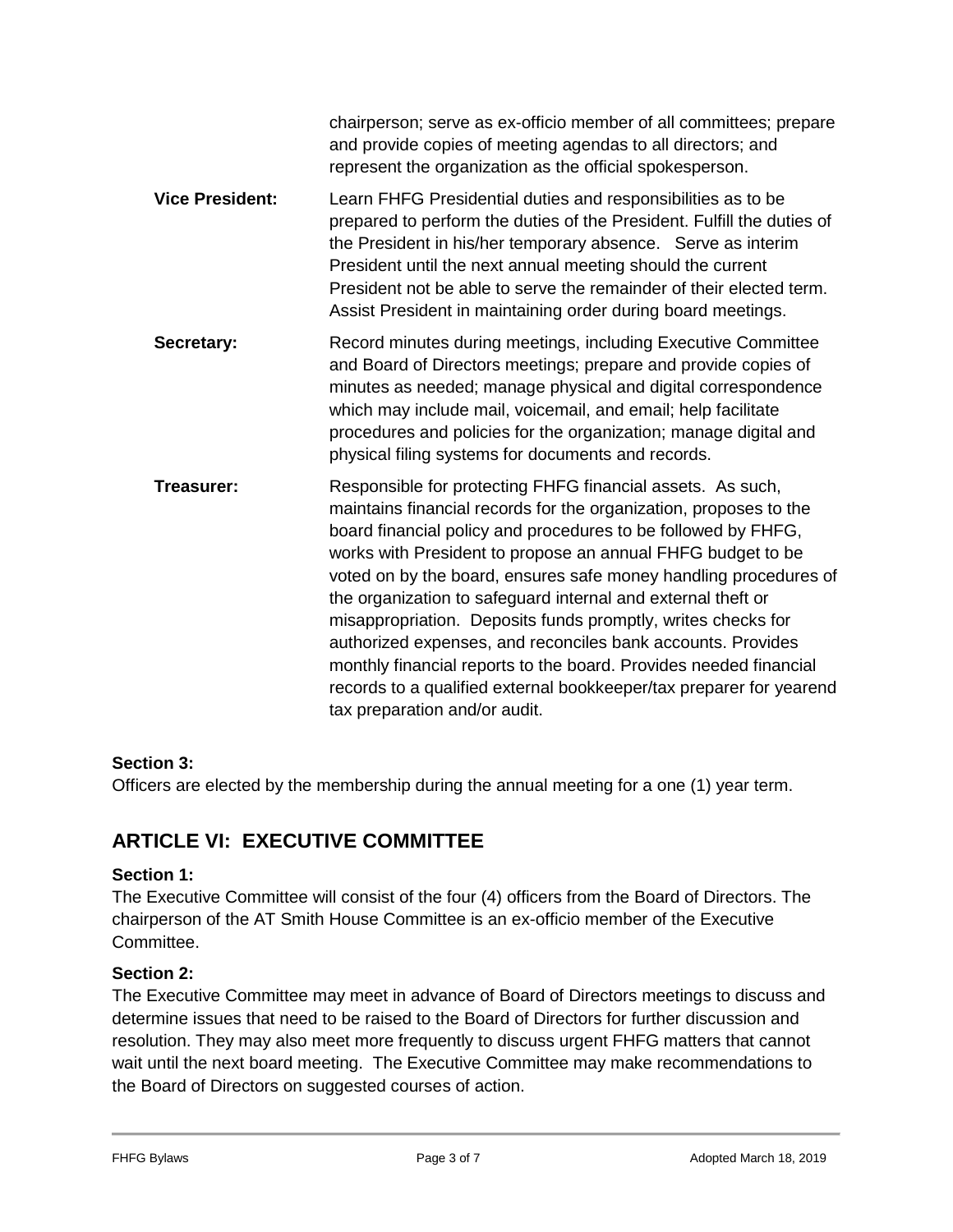|                        | chairperson; serve as ex-officio member of all committees; prepare<br>and provide copies of meeting agendas to all directors; and<br>represent the organization as the official spokesperson.                                                                                                                                                                                                                                                                                                                                                                                                                                                                                                                   |
|------------------------|-----------------------------------------------------------------------------------------------------------------------------------------------------------------------------------------------------------------------------------------------------------------------------------------------------------------------------------------------------------------------------------------------------------------------------------------------------------------------------------------------------------------------------------------------------------------------------------------------------------------------------------------------------------------------------------------------------------------|
| <b>Vice President:</b> | Learn FHFG Presidential duties and responsibilities as to be<br>prepared to perform the duties of the President. Fulfill the duties of<br>the President in his/her temporary absence. Serve as interim<br>President until the next annual meeting should the current<br>President not be able to serve the remainder of their elected term.<br>Assist President in maintaining order during board meetings.                                                                                                                                                                                                                                                                                                     |
| Secretary:             | Record minutes during meetings, including Executive Committee<br>and Board of Directors meetings; prepare and provide copies of<br>minutes as needed; manage physical and digital correspondence<br>which may include mail, voicemail, and email; help facilitate<br>procedures and policies for the organization; manage digital and<br>physical filing systems for documents and records.                                                                                                                                                                                                                                                                                                                     |
| Treasurer:             | Responsible for protecting FHFG financial assets. As such,<br>maintains financial records for the organization, proposes to the<br>board financial policy and procedures to be followed by FHFG,<br>works with President to propose an annual FHFG budget to be<br>voted on by the board, ensures safe money handling procedures of<br>the organization to safeguard internal and external theft or<br>misappropriation. Deposits funds promptly, writes checks for<br>authorized expenses, and reconciles bank accounts. Provides<br>monthly financial reports to the board. Provides needed financial<br>records to a qualified external bookkeeper/tax preparer for yearend<br>tax preparation and/or audit. |

Officers are elected by the membership during the annual meeting for a one (1) year term.

## **ARTICLE VI: EXECUTIVE COMMITTEE**

#### **Section 1:**

The Executive Committee will consist of the four (4) officers from the Board of Directors. The chairperson of the AT Smith House Committee is an ex-officio member of the Executive Committee.

#### **Section 2:**

The Executive Committee may meet in advance of Board of Directors meetings to discuss and determine issues that need to be raised to the Board of Directors for further discussion and resolution. They may also meet more frequently to discuss urgent FHFG matters that cannot wait until the next board meeting. The Executive Committee may make recommendations to the Board of Directors on suggested courses of action.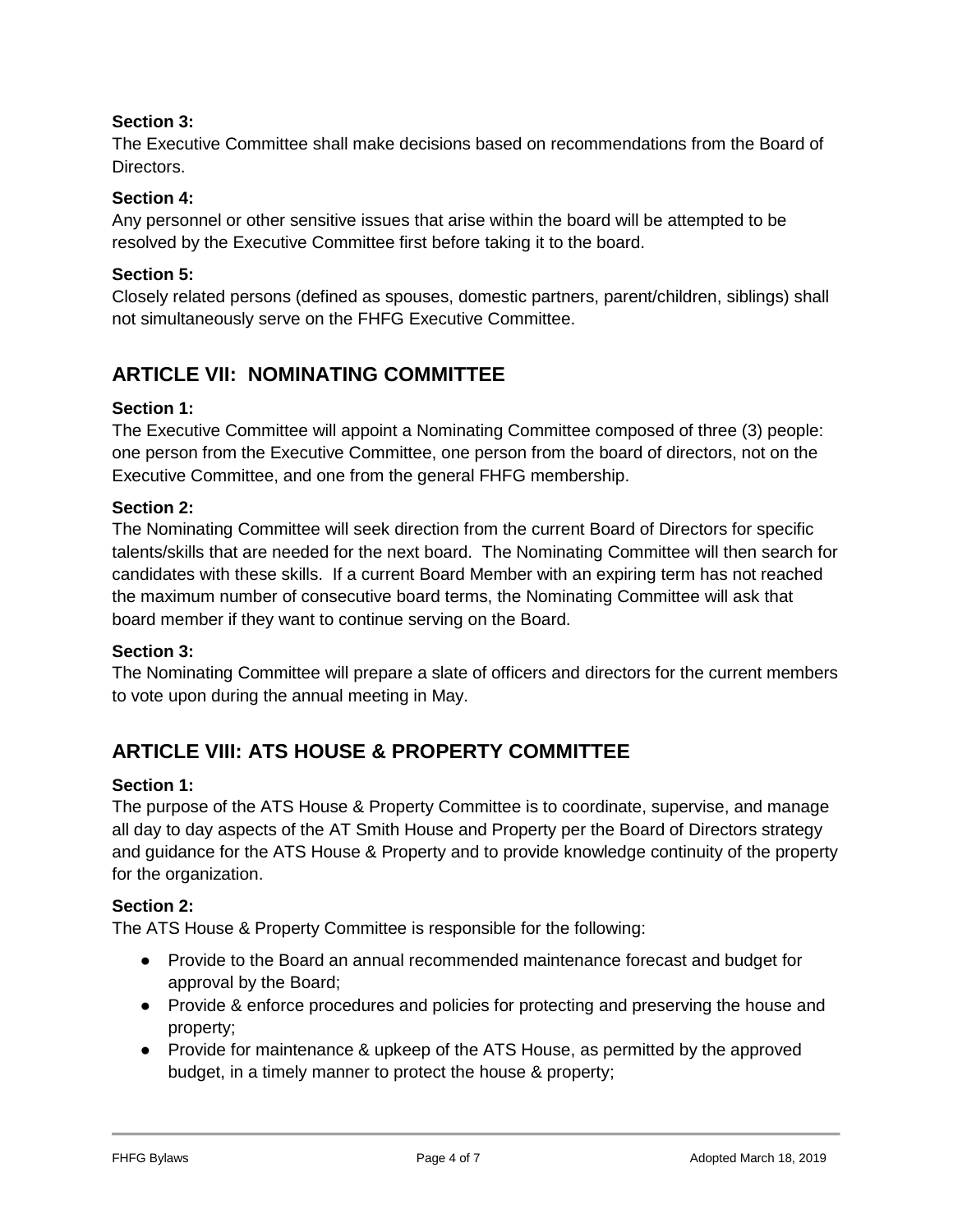The Executive Committee shall make decisions based on recommendations from the Board of **Directors** 

#### **Section 4:**

Any personnel or other sensitive issues that arise within the board will be attempted to be resolved by the Executive Committee first before taking it to the board.

#### **Section 5:**

Closely related persons (defined as spouses, domestic partners, parent/children, siblings) shall not simultaneously serve on the FHFG Executive Committee.

## **ARTICLE VII: NOMINATING COMMITTEE**

#### **Section 1:**

The Executive Committee will appoint a Nominating Committee composed of three (3) people: one person from the Executive Committee, one person from the board of directors, not on the Executive Committee, and one from the general FHFG membership.

#### **Section 2:**

The Nominating Committee will seek direction from the current Board of Directors for specific talents/skills that are needed for the next board. The Nominating Committee will then search for candidates with these skills. If a current Board Member with an expiring term has not reached the maximum number of consecutive board terms, the Nominating Committee will ask that board member if they want to continue serving on the Board.

#### **Section 3:**

The Nominating Committee will prepare a slate of officers and directors for the current members to vote upon during the annual meeting in May.

## **ARTICLE VIII: ATS HOUSE & PROPERTY COMMITTEE**

#### **Section 1:**

The purpose of the ATS House & Property Committee is to coordinate, supervise, and manage all day to day aspects of the AT Smith House and Property per the Board of Directors strategy and guidance for the ATS House & Property and to provide knowledge continuity of the property for the organization.

#### **Section 2:**

The ATS House & Property Committee is responsible for the following:

- Provide to the Board an annual recommended maintenance forecast and budget for approval by the Board;
- Provide & enforce procedures and policies for protecting and preserving the house and property;
- Provide for maintenance & upkeep of the ATS House, as permitted by the approved budget, in a timely manner to protect the house & property;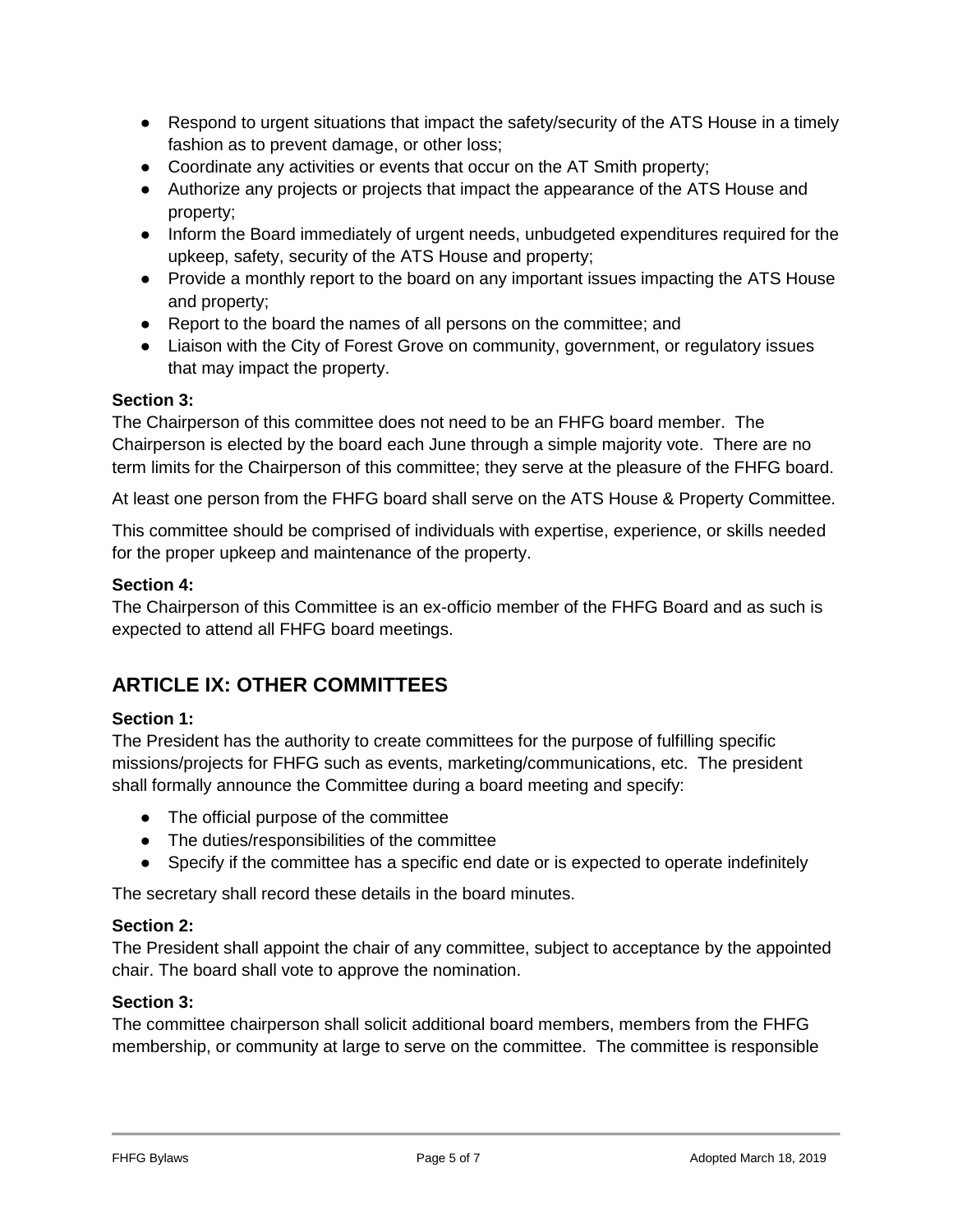- Respond to urgent situations that impact the safety/security of the ATS House in a timely fashion as to prevent damage, or other loss;
- Coordinate any activities or events that occur on the AT Smith property;
- Authorize any projects or projects that impact the appearance of the ATS House and property;
- Inform the Board immediately of urgent needs, unbudgeted expenditures required for the upkeep, safety, security of the ATS House and property;
- Provide a monthly report to the board on any important issues impacting the ATS House and property;
- Report to the board the names of all persons on the committee; and
- Liaison with the City of Forest Grove on community, government, or regulatory issues that may impact the property.

The Chairperson of this committee does not need to be an FHFG board member. The Chairperson is elected by the board each June through a simple majority vote. There are no term limits for the Chairperson of this committee; they serve at the pleasure of the FHFG board.

At least one person from the FHFG board shall serve on the ATS House & Property Committee.

This committee should be comprised of individuals with expertise, experience, or skills needed for the proper upkeep and maintenance of the property.

#### **Section 4:**

The Chairperson of this Committee is an ex-officio member of the FHFG Board and as such is expected to attend all FHFG board meetings.

## **ARTICLE IX: OTHER COMMITTEES**

### **Section 1:**

The President has the authority to create committees for the purpose of fulfilling specific missions/projects for FHFG such as events, marketing/communications, etc. The president shall formally announce the Committee during a board meeting and specify:

- The official purpose of the committee
- The duties/responsibilities of the committee
- Specify if the committee has a specific end date or is expected to operate indefinitely

The secretary shall record these details in the board minutes.

#### **Section 2:**

The President shall appoint the chair of any committee, subject to acceptance by the appointed chair. The board shall vote to approve the nomination.

#### **Section 3:**

The committee chairperson shall solicit additional board members, members from the FHFG membership, or community at large to serve on the committee. The committee is responsible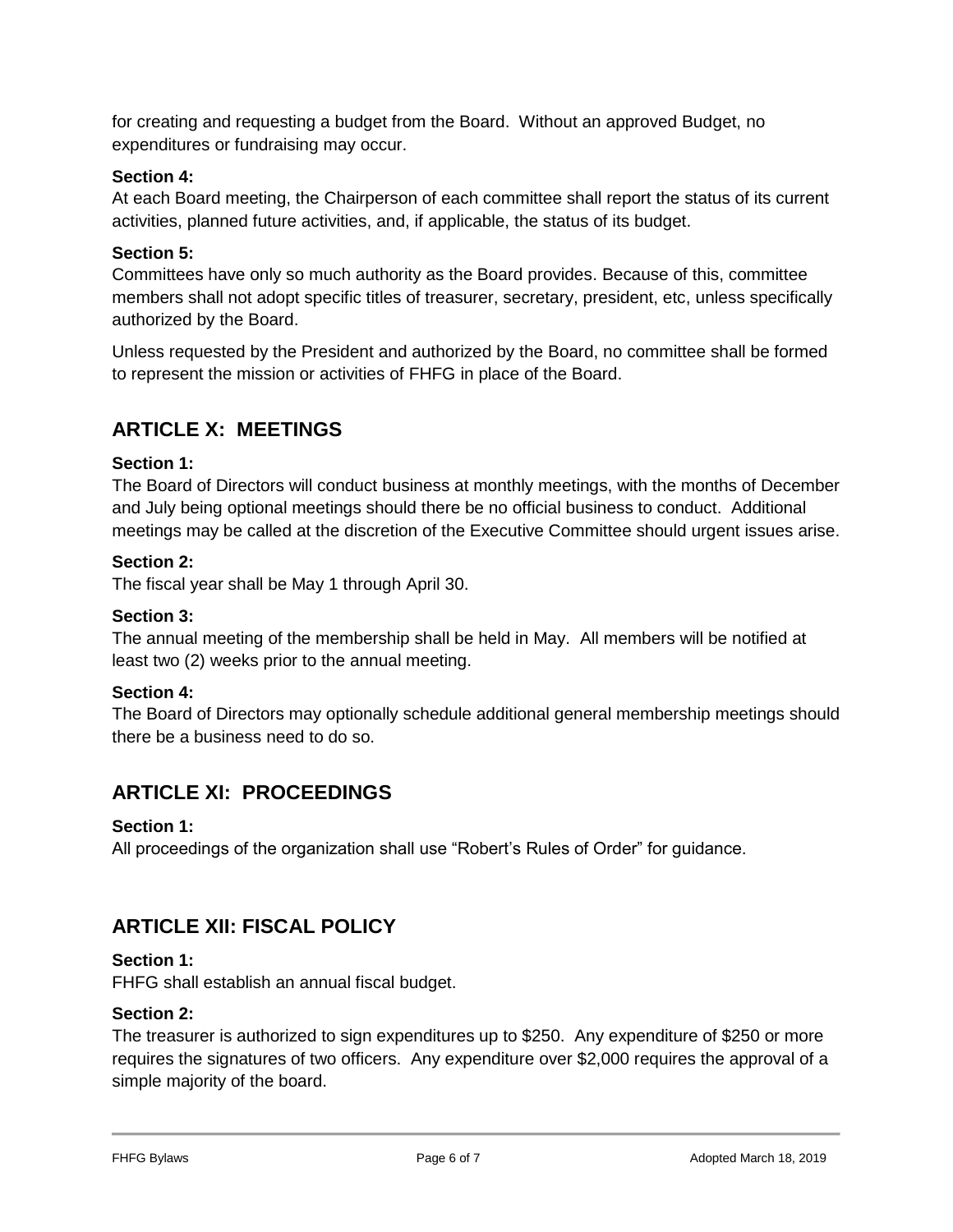for creating and requesting a budget from the Board. Without an approved Budget, no expenditures or fundraising may occur.

### **Section 4:**

At each Board meeting, the Chairperson of each committee shall report the status of its current activities, planned future activities, and, if applicable, the status of its budget.

#### **Section 5:**

Committees have only so much authority as the Board provides. Because of this, committee members shall not adopt specific titles of treasurer, secretary, president, etc, unless specifically authorized by the Board.

Unless requested by the President and authorized by the Board, no committee shall be formed to represent the mission or activities of FHFG in place of the Board.

## **ARTICLE X: MEETINGS**

#### **Section 1:**

The Board of Directors will conduct business at monthly meetings, with the months of December and July being optional meetings should there be no official business to conduct. Additional meetings may be called at the discretion of the Executive Committee should urgent issues arise.

#### **Section 2:**

The fiscal year shall be May 1 through April 30.

#### **Section 3:**

The annual meeting of the membership shall be held in May. All members will be notified at least two (2) weeks prior to the annual meeting.

#### **Section 4:**

The Board of Directors may optionally schedule additional general membership meetings should there be a business need to do so.

## **ARTICLE XI: PROCEEDINGS**

#### **Section 1:**

All proceedings of the organization shall use "Robert's Rules of Order" for guidance.

## **ARTICLE XII: FISCAL POLICY**

#### **Section 1:**

FHFG shall establish an annual fiscal budget.

#### **Section 2:**

The treasurer is authorized to sign expenditures up to \$250. Any expenditure of \$250 or more requires the signatures of two officers. Any expenditure over \$2,000 requires the approval of a simple majority of the board.